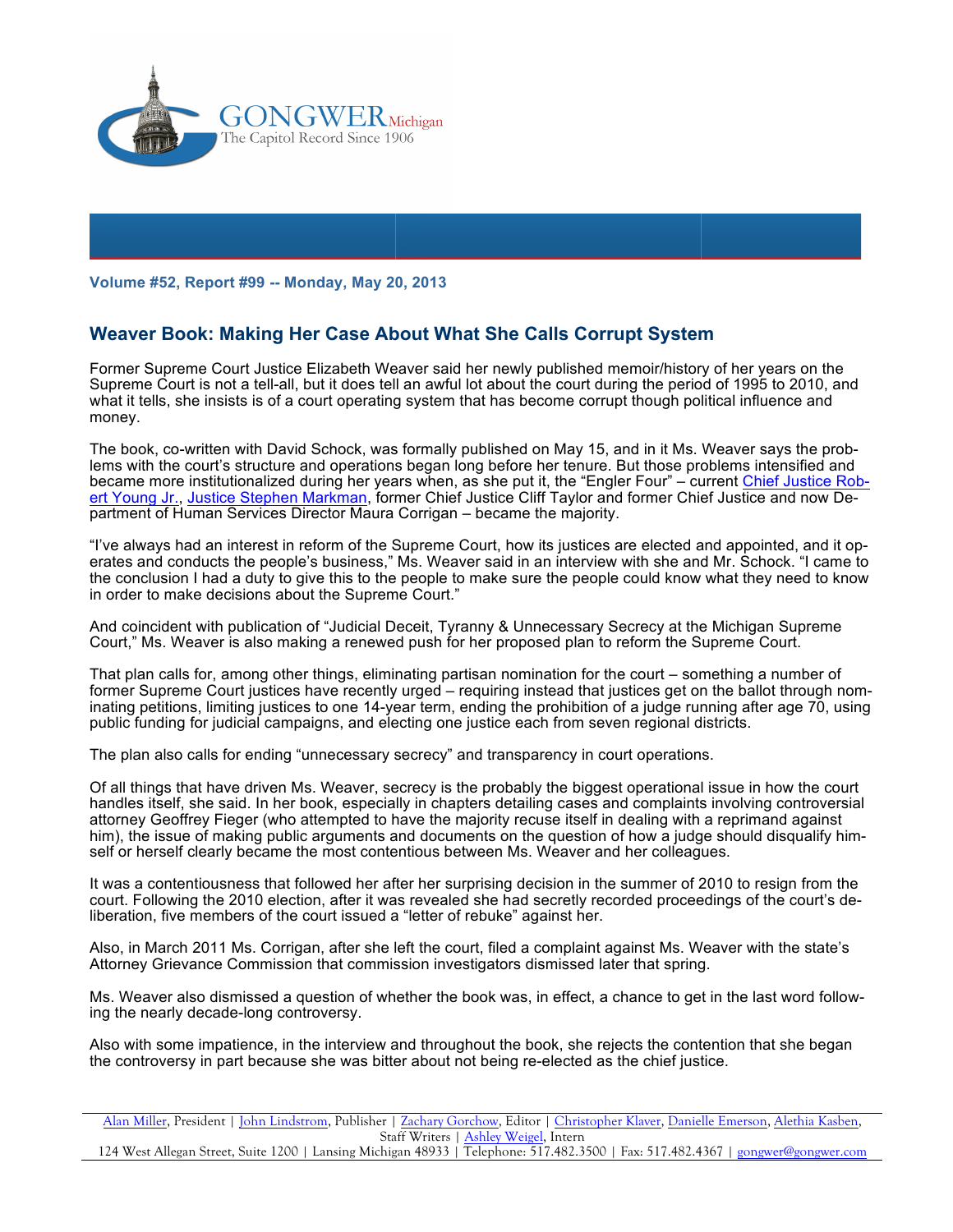

**Volume #52, Report #99 -- Monday, May 20, 2013**

## **Weaver Book: Making Her Case About What She Calls Corrupt System**

Former Supreme Court Justice Elizabeth Weaver said her newly published memoir/history of her years on the Supreme Court is not a tell-all, but it does tell an awful lot about the court during the period of 1995 to 2010, and what it tells, she insists is of a court operating system that has become corrupt though political influence and money.

The book, co-written with David Schock, was formally published on May 15, and in it Ms. Weaver says the problems with the court's structure and operations began long before her tenure. But those problems intensified and became more institutionalized during her years when, as she put it, the "Engler Four" – current Chief Justice Robert Young Jr., Justice Stephen Markman, former Chief Justice Cliff Taylor and former Chief Justice and now Department of Human Services Director Maura Corrigan – became the majority.

"I've always had an interest in reform of the Supreme Court, how its justices are elected and appointed, and it operates and conducts the people's business," Ms. Weaver said in an interview with she and Mr. Schock. "I came to the conclusion I had a duty to give this to the people to make sure the people could know what they need to know in order to make decisions about the Supreme Court."

And coincident with publication of "Judicial Deceit, Tyranny & Unnecessary Secrecy at the Michigan Supreme Court," Ms. Weaver is also making a renewed push for her proposed plan to reform the Supreme Court.

That plan calls for, among other things, eliminating partisan nomination for the court – something a number of former Supreme Court justices have recently urged – requiring instead that justices get on the ballot through nominating petitions, limiting justices to one 14-year term, ending the prohibition of a judge running after age 70, using public funding for judicial campaigns, and electing one justice each from seven regional districts.

The plan also calls for ending "unnecessary secrecy" and transparency in court operations.

Of all things that have driven Ms. Weaver, secrecy is the probably the biggest operational issue in how the court handles itself, she said. In her book, especially in chapters detailing cases and complaints involving controversial attorney Geoffrey Fieger (who attempted to have the majority recuse itself in dealing with a reprimand against him), the issue of making public arguments and documents on the question of how a judge should disqualify himself or herself clearly became the most contentious between Ms. Weaver and her colleagues.

It was a contentiousness that followed her after her surprising decision in the summer of 2010 to resign from the court. Following the 2010 election, after it was revealed she had secretly recorded proceedings of the court's deliberation, five members of the court issued a "letter of rebuke" against her.

Also, in March 2011 Ms. Corrigan, after she left the court, filed a complaint against Ms. Weaver with the state's Attorney Grievance Commission that commission investigators dismissed later that spring.

Ms. Weaver also dismissed a question of whether the book was, in effect, a chance to get in the last word following the nearly decade-long controversy.

Also with some impatience, in the interview and throughout the book, she rejects the contention that she began the controversy in part because she was bitter about not being re-elected as the chief justice.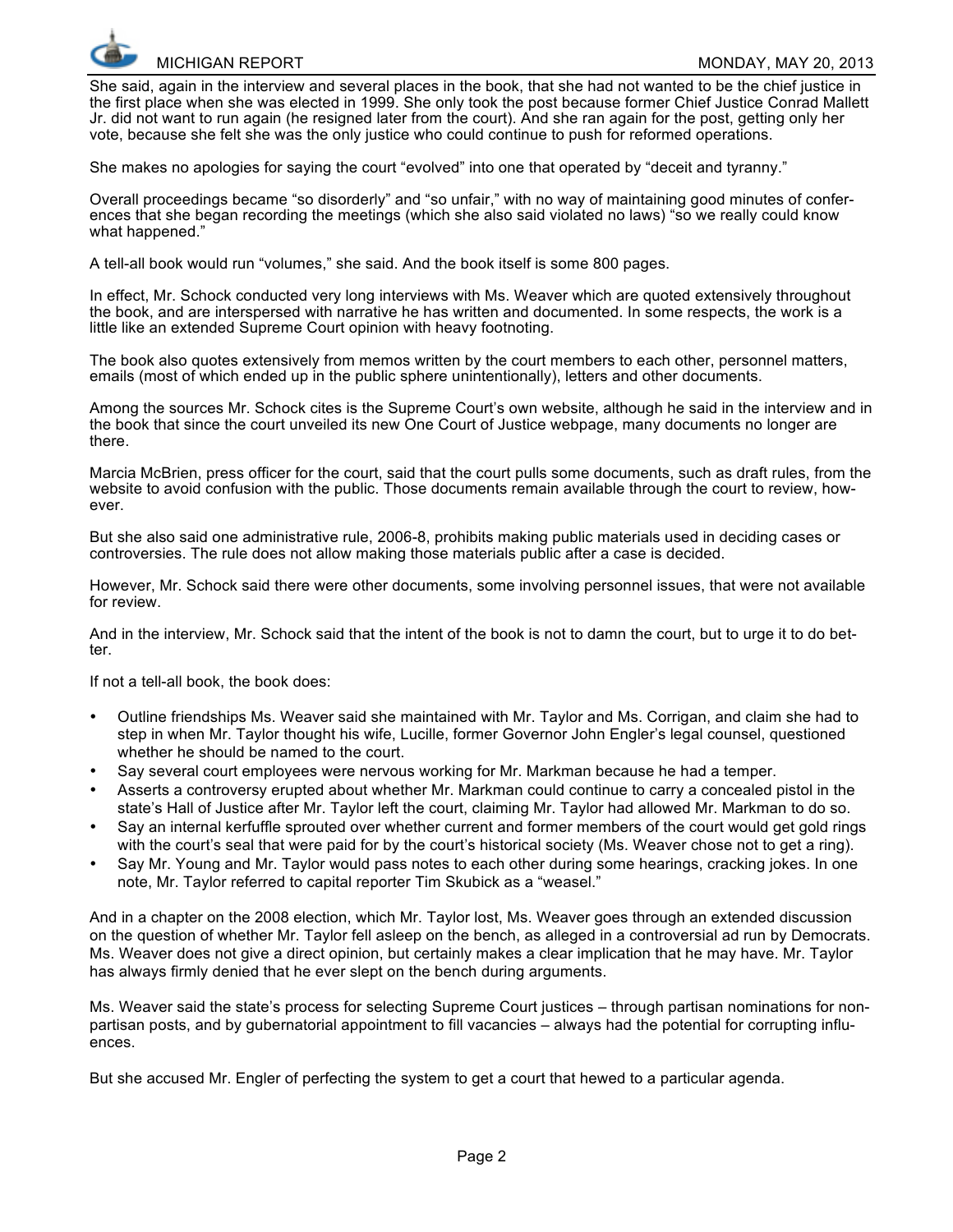

She said, again in the interview and several places in the book, that she had not wanted to be the chief justice in the first place when she was elected in 1999. She only took the post because former Chief Justice Conrad Mallett Jr. did not want to run again (he resigned later from the court). And she ran again for the post, getting only her vote, because she felt she was the only justice who could continue to push for reformed operations.

She makes no apologies for saying the court "evolved" into one that operated by "deceit and tyranny."

Overall proceedings became "so disorderly" and "so unfair," with no way of maintaining good minutes of conferences that she began recording the meetings (which she also said violated no laws) "so we really could know what happened."

A tell-all book would run "volumes," she said. And the book itself is some 800 pages.

In effect, Mr. Schock conducted very long interviews with Ms. Weaver which are quoted extensively throughout the book, and are interspersed with narrative he has written and documented. In some respects, the work is a little like an extended Supreme Court opinion with heavy footnoting.

The book also quotes extensively from memos written by the court members to each other, personnel matters, emails (most of which ended up in the public sphere unintentionally), letters and other documents.

Among the sources Mr. Schock cites is the Supreme Court's own website, although he said in the interview and in the book that since the court unveiled its new One Court of Justice webpage, many documents no longer are there.

Marcia McBrien, press officer for the court, said that the court pulls some documents, such as draft rules, from the website to avoid confusion with the public. Those documents remain available through the court to review, however.

But she also said one administrative rule, 2006-8, prohibits making public materials used in deciding cases or controversies. The rule does not allow making those materials public after a case is decided.

However, Mr. Schock said there were other documents, some involving personnel issues, that were not available for review.

And in the interview, Mr. Schock said that the intent of the book is not to damn the court, but to urge it to do better.

If not a tell-all book, the book does:

- Outline friendships Ms. Weaver said she maintained with Mr. Taylor and Ms. Corrigan, and claim she had to step in when Mr. Taylor thought his wife, Lucille, former Governor John Engler's legal counsel, questioned whether he should be named to the court.
- Say several court employees were nervous working for Mr. Markman because he had a temper.
- Asserts a controversy erupted about whether Mr. Markman could continue to carry a concealed pistol in the state's Hall of Justice after Mr. Taylor left the court, claiming Mr. Taylor had allowed Mr. Markman to do so.
- Say an internal kerfuffle sprouted over whether current and former members of the court would get gold rings with the court's seal that were paid for by the court's historical society (Ms. Weaver chose not to get a ring).
- Say Mr. Young and Mr. Taylor would pass notes to each other during some hearings, cracking jokes. In one note, Mr. Taylor referred to capital reporter Tim Skubick as a "weasel."

And in a chapter on the 2008 election, which Mr. Taylor lost, Ms. Weaver goes through an extended discussion on the question of whether Mr. Taylor fell asleep on the bench, as alleged in a controversial ad run by Democrats. Ms. Weaver does not give a direct opinion, but certainly makes a clear implication that he may have. Mr. Taylor has always firmly denied that he ever slept on the bench during arguments.

Ms. Weaver said the state's process for selecting Supreme Court justices – through partisan nominations for nonpartisan posts, and by gubernatorial appointment to fill vacancies – always had the potential for corrupting influences.

But she accused Mr. Engler of perfecting the system to get a court that hewed to a particular agenda.